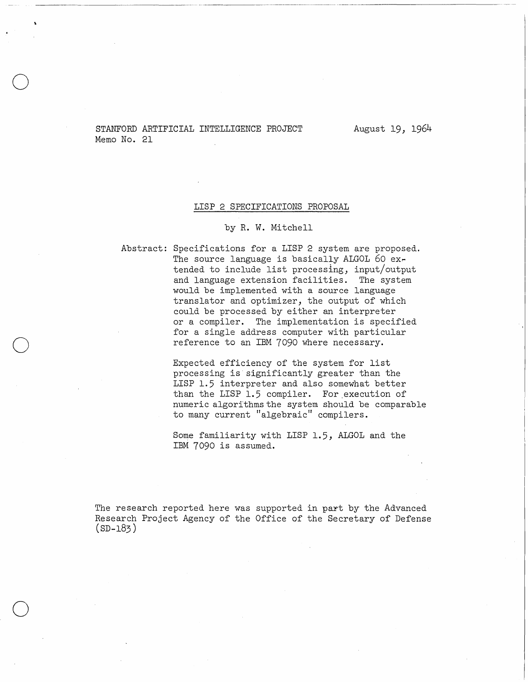STANFORD ARTIFICIAL INTELLIGENCE PROJECT Memo No. 21

August 19, 1964

### LISP 2 SPECIFICATIONS PROPOSAL

### by R. W. Mitchell

o

o

o

Abstract: Specifications for a LISP 2 system are proposed. The source language is basically ALGOL 60  $ex$ tended to include list processing, input/output and language extension facilities. The system would be implemented with a source language translator and optimizer, the output of which could be processed by either an interpreter or a compiler. The implementation is specified for a single address computer with particular reference to an IBM 7090 where necessary.

> Expected efficiency of the system for list processing is significantly greater than the LISP 1.5 interpreter and also somewhat better than the LISP 1.5 compiler. For execution of numeric algorithms the system should be comparable to many current "algebraic" compilers.

Some familiarity with LISP 1.5, ALGOL and the IBM 7090 is assumed.

The research reported here was supported in part by the Advanced Research Project Agency of the Office of the Secretary of Defense  $(SD-183)$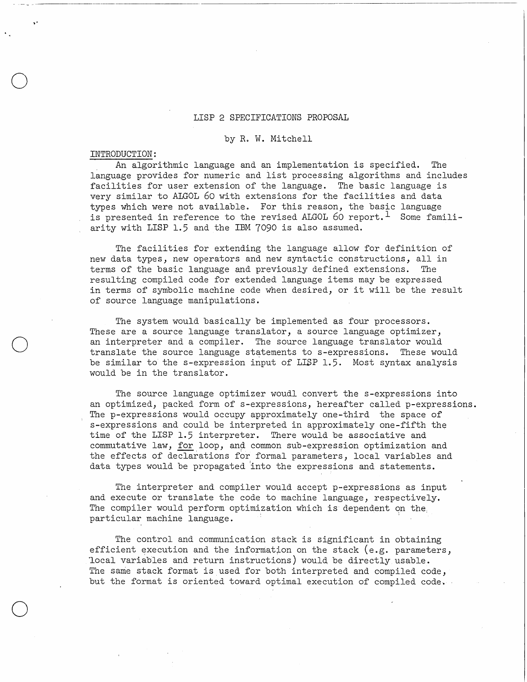#### LISP 2 SPECIFICATIONS PROPOSAL

### by R. W. Mitchell

### INTRODUCTION:

---------------------.-- .\_------

o

o

o

An algorithmic language and an implementation is specified. The language provides for numeric and list processing algorithms and includes facilities for user extension of the language. The basic language is very similar to ALGOL 60 with extensions for the facilities and data types which were not available. For this reason, the basic language is presented in reference to the revised ALGOL 60 report.<sup>1</sup> Some familiarity with LISP 1.5 and the IBM 7090 is also assumed.

The facilities for extending the language allow for definition of new data types, new operators and new syntactic constructions, all in terms of the basic language and previously defined extensions. The resulting compiled code for extended language items may be expressed in terms of symbolic machine code when desired, or it will be the result of source language manipulations.

The system would basically be implemented as four processors. These are a source language translator, a source language optimizer, an interpreter and a compiler. The source language translator would translate the source language statements to s-expressions. These would be similar to the s-expression input of LISP 1.5. Most syntax analysis would be in the translator.

The source language optimizer woudl convert the s-expressions into an optimized, packed form of s-expressions, hereafter called p-expressions. The p-expressions would occupy approximately one-third the space of s-expressions and could be interpreted in approximately one-fifth the time of the LISP 1.5 interpreter. There would be associative and commutative law, for loop, and common sub-expression optimization and the effects of declarations for formal parameters, local variables and data types would be propagated 'into the expressions and statements.

The interpreter and compiler would accept p-expressions as input and execute or translate the code to machine language, respectively. The compiler would perform optimization which is dependent on the particular machine language.

The control and communication stack is significant in obtaining efficient execution and the information on the stack (e.g. parameters, 'local variables and return instructions) would, be directly usable. The same stack format is used for both interpreted and compiled code, but the format is oriented toward optimal execution of compiled code.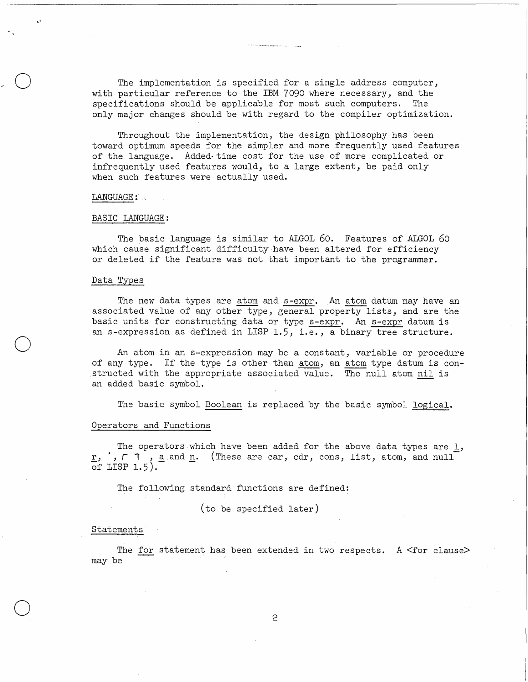The implementation is specified for a single address computer, with particular reference to the IBM 7090 where necessary, and the specifications should be applicable for most such computers. The only major changes should be with regard to the compiler optimization.

Throughout the implementation, the design philosophy has been toward optimum speeds for the simpler and more frequently used features of the language. Added· time cost for the use of more complicated or infrequently used features would, to a large extent, be paid only when such features were actually used.

#### LANGUAGE: . \ .

"

o

o

o

### BASIC LANGUAGE:

The basic language is similar to ALGOL 60. Features of ALGOL 60 which cause significant difficulty have been altered for efficiency or deleted if the feature was not that important to the programmer.

### Data Types

The new data types are atom and s-expr. An atom datum may have an associated value of any other type, general property lists, and are the basic units for constructing data or type s-expr. An s-expr datum is an s-expression as defined in LISP 1.5, i.e., a binary tree structure.

An atom in an s-expression may be a constant, variable or procedure of any type. If the type is other than atom, an atom type datum is constructed with the appropriate associated value. The null atom nil is an added basic symbol.

The basic symbol Boolean is replaced by the basic symbol logical.

## Operators and Functions

The operators which have been added for the above data types are 1,  $\underline{r}$ ,  $\vdots$ ,  $\vdots$ ,  $\underline{a}$  and  $\underline{n}$ . (These are car, cdr, cons, list, atom, and null of LISP  $1.5$ ).

The following standard functions are defined:

(to be specified later)

### Statements

The for statement has been extended in two respects. A  $\text{Cfor clauses}$ may be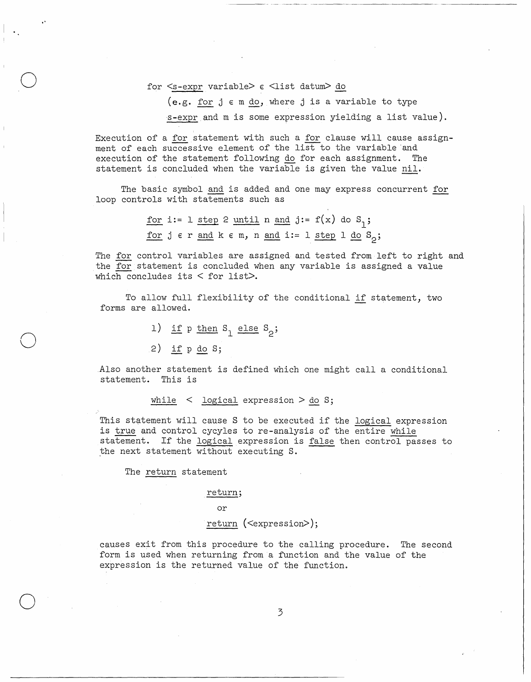for  $\le$ s-expr variable>  $\epsilon$   $\le$ list datum> do

(e.g. for  $j \in \mathfrak{m}$  do, where  $j$  is a variable to type s-expr and m is some expression yielding a list value).

Execution of a for statement with such a for clause will cause assignment of each successive element of the list to the variable and execution of the statement following do for each assignment. The statement is concluded when the variable is given the value nil.

The basic symbol and is added and one may express concurrent for loop controls with statements such as

> for i:=  $1 \text{ step } 2 \text{ until } n \text{ and } j:= f(x) \text{ do } S_1;$ for  $j \in r$  and  $k \in m$ , n and  $i := 1$  step  $1$  do  $S_0$ ;

The for control variables are assigned and tested from left to right and the for statement is concluded when any variable is assigned a value which concludes its  $<$  for list>.

To allow full flexibility of the conditional if statement, two forms are allowed.

- 1) if  $p \text{ then } S_1$  else  $S_2$ ;
- 2) if p do 8;

 $\mathcal{L} = \mathcal{L}$ 

o

o

o

.Also another statement is defined which one might call a conditional statement. This is

while  $\leq$  logical expression  $>$  do S;

This statement will cause 8 to be executed if the logical expression is true and control cycyles to re-analysis of the entire while statement. If the logical expression is false then control passes to the next statement without executing 8.

The return statement

#### return;

or

return (<expression>);

causes exit from this procedure to the calling procedure. The second form is used when returning from a function and the value of the expression is the returned value of the function.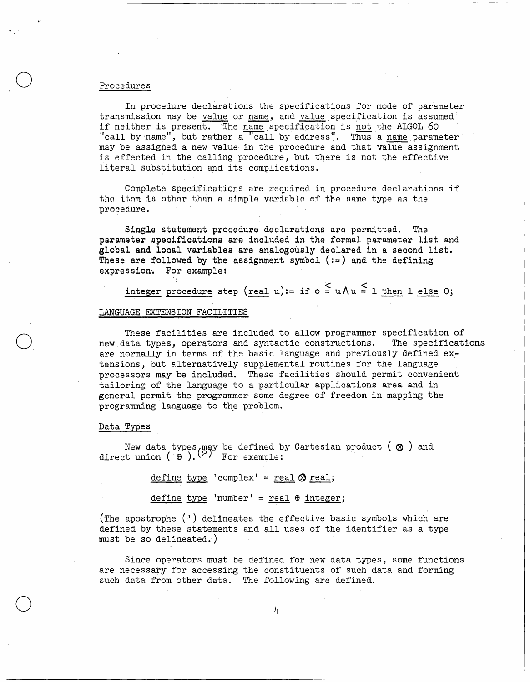### Procedures

"

o

 $\bigcirc$ 

o

In procedure declarations the specifications for mode of parameter transmission may be value or name, and value specification is assumed if neither is present. The name specification is not the ALGOL 60 "call by  $name"$ , but rather a "call by address". Thus a name parameter may be assigned a new value in the procedure and that value assignment is effected in the calling procedure, but there is not the effective literal substitution and its complications. '

Complete specifications are required in procedure declarations if the item is other than a simple variable of the same type as the procedure,

Single statement procedure declarations are permitted. The parameter specifications are included in the formal parameter list and global and local variables are analogously declared in a second list. These are followed by the assignment symbol  $(:=)$  and the defining expression. For example:

integer procedure step (real u):= if  $\circ \leq u \wedge u \leq 1$  then  $l$  else 0;

## LANGUAGE EXTENSION FACILITIES

These facilities are included to allow programmer specification of new data types, operators and syntactic constructions. The specifications are normally in terms of the basic language and previously defined extensions, but alternatively supplemental routines for the language processors may be included. These facilities should permit convenient tailoring of the language to a particular applications area and in general permit the programmer some degree of freedom in mapping the programming language to the problem.

### Data Types

New data types, may be defined by Cartesian product (  $\otimes$  ) and direct union (  $\oplus$  ).  $(2)$  For example:

 $define type 'complex' = real @ real;$ 

 $define type 'number' = real  $\theta$  integer;$ 

(The apostrophe (') delineates the effective basic symbols which are defined by these statements and all uses of the identifier as a type must be so delineated.)

Since operators must be defined for new data types, some functions are necessary for accessing the constituents of such data and forming such data from other data. The following are defined.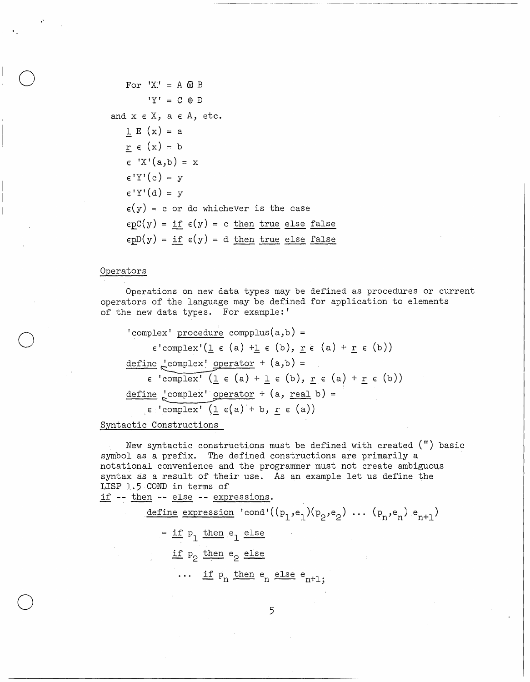For  $'X' = A \otimes B$  $'Y' = C \oplus D$ and  $x \in X$ ,  $a \in A$ , etc.  $1 E(x) = a$  $r \in (x) = b$  $\in 'X'(a,b) = x$  $\epsilon'$ <sup>'</sup>Y<sup>'</sup>(c) = y  $\epsilon'$ Y'(d) = v  $\epsilon(y)$  = c or do whichever is the case  $epC(y) = if \epsilon(y) = c then true else false$  $\epsilon pD(y) = if \epsilon(y) = d$  then true else false

### Operators

Operations on new data types may be defined as procedures or current operators of the language may be defined for application to elements of the new data types. For example:'

'complex' procedure compplus $(a,b)$  =  $\epsilon$ 'complex'(1  $\epsilon$  (a) +1  $\epsilon$  (b),  $r \epsilon$  (a) +  $r \epsilon$  (b))  $define \text{.} compute x' operator + (a,b) =$  $\epsilon$  'complex' ( $1 \epsilon$  (a) +  $1 \epsilon$  (b),  $r \epsilon$  (a) +  $r \epsilon$  (b)) define  $\frac{1}{6}$ complex' operator + (a, real b) =  $\epsilon$  'complex' (1  $\epsilon$ (a) + b, r  $\epsilon$  (a))

Syntactic Constructions

New syntactic constructions must be defined with created (") basic symbol as a prefix. The defined constructions are primarily a notational convenience and the programmer must not create ambiguous syntax as a result of their use. As an example let us define the LISP 1.5 COND in terms of if -- then -- else -- expressions.

> <u>define</u> expression 'cond'( $(p_1,e_1)(p_2,e_2)$  ...  $(p_n,e_n)e_{n+1}$ )  $=$  if  $p_1$  then  $e_1$  else if p<sub>o</sub> then e<sub>o</sub> else ... if  $p_n$  then  $e_n$  else  $e_{n+1}$ .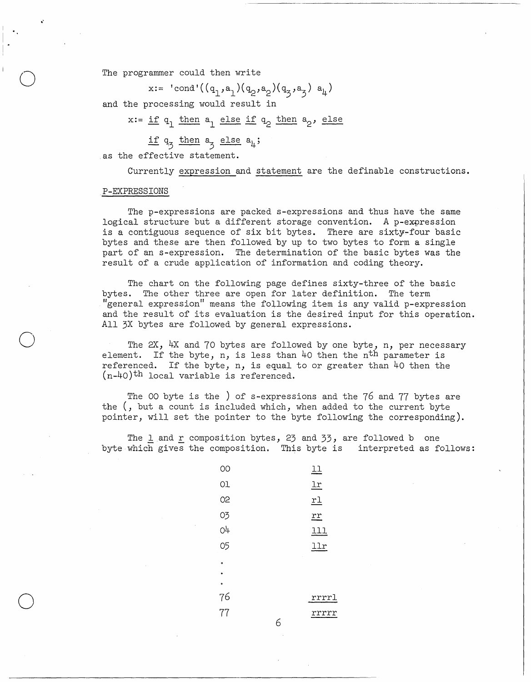The programmer could then write

x:= 'cond'((q<sub>1</sub>,a<sub>1</sub>)(q<sub>2</sub>,a<sub>2</sub>)(q<sub>3</sub>,a<sub>3</sub>) a<sub>4</sub>)

and the processing would result in

 $x := \underline{if} q_1 \underline{then} q_1 \underline{else} \underline{if} q_2 \underline{then} q_2, \underline{else}$ 

if  $q_3$  then  $a_3$  else  $a_4$ ;

as the effective statement.

Currently expression and statement are the definable constructions.

-----------------.------ -------

## P-EXPRESSIONS

.'

o

o

o

The p-expressions are packed s-expressions and thus have the same logical structure but a different storage convention. A p-expression is a contiguous sequence of six bit bytes. There are sixty-four basic bytes and these are then followed by up to two bytes to form a single part of an s-expression. The determination of the basic bytes was the result of a crude application of information and coding theory.

The chart on the following page defines sixty-three of the basic bytes. The other three are open for later definition. The term "general expression" means the following item is any valid p-expression and the result of its evaluation is the desired input for this operation. All 3X bytes are followed by general expressions.

The  $2X$ ,  $4X$  and 70 bytes are followed by one byte, n, per necessary element. If the byte, n, is less than 40 then the n<sup>th</sup> parameter is referenced. If the byte, n, is equal to or greater than  $40$  then the  $(n-40)$ <sup>th</sup> local variable is referenced.

The 00 byte is the ) of s-expressions and the 76 and 77 bytes are the (, but a count is included which, when added to the current byte pointer, will set the pointer to the byte following the corresponding).

The  $l$  and  $r$  composition bytes, 23 and 33, are followed bone byte which gives the composition. This byte is interpreted as follows:

| OО        |   | 11                      |
|-----------|---|-------------------------|
| Оl        |   | <u>lr</u>               |
| 02        |   | $\underline{\text{rl}}$ |
| 03        |   | $r$ $r$                 |
| O4        |   | <u> 111</u>             |
| 05        |   | llr                     |
| $\bullet$ |   |                         |
| $\bullet$ |   |                         |
| $\bullet$ |   |                         |
| 76        |   | rrrrl                   |
| 77        |   | rrrrr                   |
|           | 6 |                         |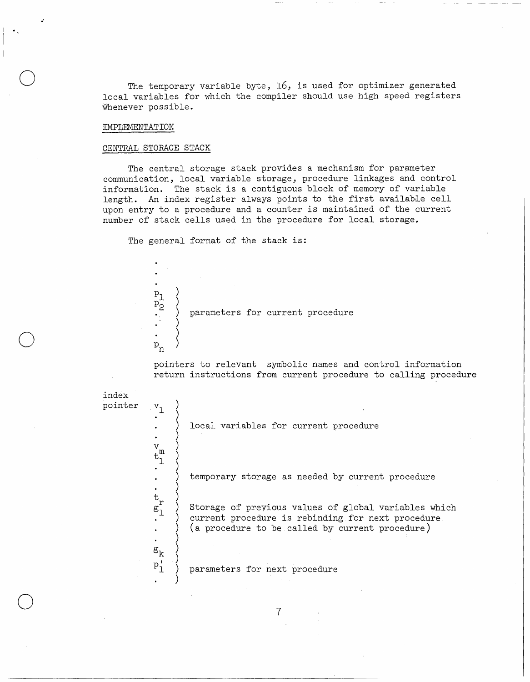The temporary variable byte, 16, is used for optimizer generated local variables for which the compiler should use high speed registers whenever possible.

----- \_. -----\_.\_-----\_.\_--- .-------------.-~-

### [MPLEMENTATION

.'

o

o

 $\bigcirc$ 

### CENTRAL STORAGE STACK

 $\mathfrak{p}^+_2$ 

 $P_{n}$ 

 $P_1$ 

) )

) ) )

The central storage stack provides a mechanism for parameter communication, local variable storage, procedure linkages and control information. The stack is a contiguous block of memory of variable length. An index register always points to the first available cell upon entry to a procedure and a counter is maintained of the current number of stack cells used in the procedure for local storage.

The general format of the stack is:

) parameters for current procedure

pointers to relevant symbolic names and control information return instructions from current procedure to calling procedure



7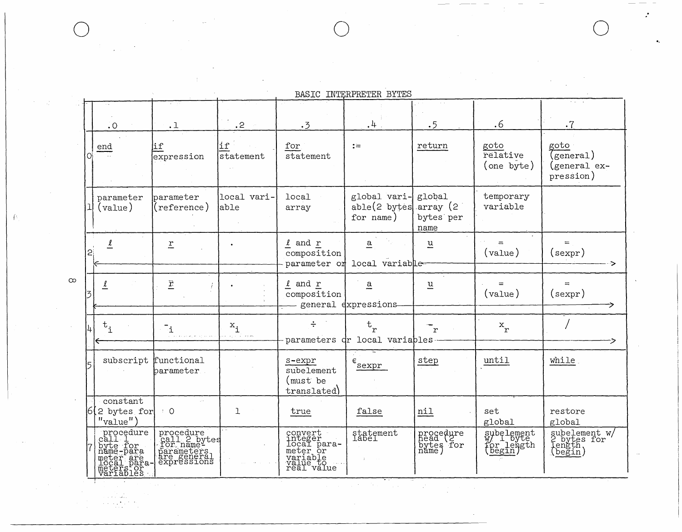BASIC INTERPRETER BYTES

| $\cdot$ O                                                                           | $\sim$ 100<br>$\cdot$ 1                                                            | $\cdot$ 2            | .3                                                                                  | $\cdot^{\downarrow}$                                       | .5                                       | .6                                    | $\cdot$ 7                                         |
|-------------------------------------------------------------------------------------|------------------------------------------------------------------------------------|----------------------|-------------------------------------------------------------------------------------|------------------------------------------------------------|------------------------------------------|---------------------------------------|---------------------------------------------------|
| end<br>$\sim$                                                                       | ∣if<br>expression                                                                  | li f<br>statement    | for<br>statement                                                                    | $:=$                                                       | return                                   | goto<br>relative<br>(one byte)        | goto<br>(general)<br>(general ex-<br>pression)    |
| parameter<br>(value)                                                                | parameter<br>(reference)                                                           | local vari-<br>able  | local<br>array                                                                      | global vari-<br>able(2 bytes<br>for name)                  | global<br>array (2)<br>bytes per<br>name | temporary<br>variable                 |                                                   |
| 2.                                                                                  | $\underline{r}$                                                                    |                      | $\ell$ and $r$<br>composition                                                       | $\overline{a}$<br>parameter or local variable              | $\underline{u}$                          | $=$<br>$(\text{value})$               | (sexpr)                                           |
| $\overline{\mathbf{r}}$                                                             | $\underline{\hat{r}}$                                                              |                      | $\ell$ and $r$<br>composition                                                       | a<br>general dxpressions                                   | $\underline{u}$                          | $(va\lambda)$                         | $=$<br>$(\texttt{sexpr})$                         |
| $\mathbf{t}_{\mathtt{i}}$                                                           | $\mathbb{I}_1$                                                                     | $x_i$<br>and and was | ÷                                                                                   | $\mathbf{t}_{\mathbf{r}}$<br>parameters dr local variables | $\mathbf{r}$                             | $x_r$                                 |                                                   |
| subscript                                                                           | functional<br>parameter                                                            |                      | s-expr<br>subelement<br>(must be<br>translated)                                     | $\epsilon$<br>sexpr                                        | step                                     | until                                 | while                                             |
| constant<br>$6(2 \text{ bytes for})$<br>$"value"$ )                                 | $\cdot$ 0                                                                          | $\mathbf{1}$         | true                                                                                | false                                                      | nil                                      | set<br>global                         | restore<br>global                                 |
| procedure<br>call l<br>byte for<br>name-para<br>meter are<br>meters or<br>wariables | procedure<br>call 2 bytes<br>for name-<br>parameters<br>are general<br>expressions |                      | convert<br>integer<br>local para-<br>meter or<br>variable<br>value to<br>real value | statement<br>label                                         | procedure<br>head<br>bytes for<br>name)  | subelement<br>W/ 1_byte<br>for length | subelement w/<br>2 bytes for<br>length<br>(begin) |

 $\infty$ 

 $\left\{ \cdot\right\}$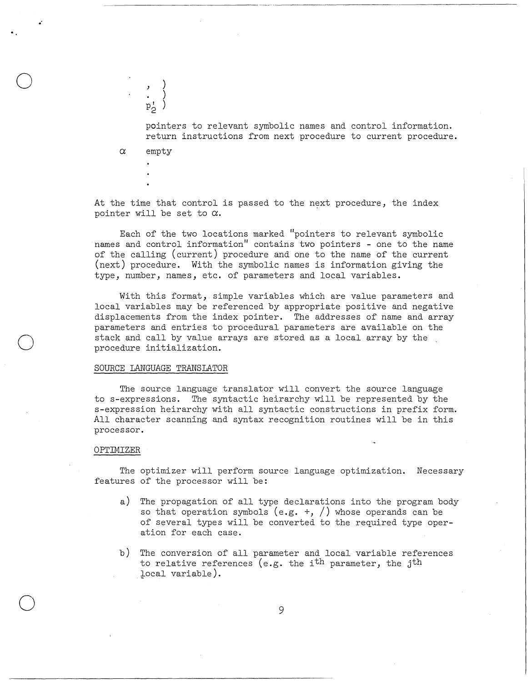pointers to relevant symbolic names and control information. return instructions from next procedure to current procedure.

 $\alpha$ empty

.0

o

o

o

) )  $\sum_{p_0}^{\bullet}$ 2

At the time that control is passed to the next procedure, the index pointer will be set to  $\alpha$ .

Each of the two locations marked "pointers to relevant symbolic names and control information" contains two pointers - one to the name of the calling (current) procedure and one to the name of the current (next) procedure. With the symbolic names is information giving the type, number, names, etc. of parameters and local variables.

With this format, simple variables which are value parameters and local variables may be referenced by appropriate positive and negative displacements from the index pointer. The addresses of name and array parameters and entries to procedural parameters are available on the stack and call by value arrays are stored as a local array by the procedure initialization.

### SOURCE LANGUAGE TRANSLATOR

The source language translator will convert the source language to s-expressions. The syntactic heirarchy will be represented by the s-expression heirarchy with all syntactic constructions in prefix form. All character scanning and syntax recognition routines will be in this processor.

### OPTIMIZER

The optimizer will perform source language optimization. Necessary features of the processor will be:

- a) The propagation of all type declarations into the program body so that operation symbols (e.g.  $+$ ,  $/$ ) whose operands can be of several types will be converted to the required type operation for each case.
- b) The conversion of all parameter and local variable references to relative references (e.g. the i<sup>th</sup> parameter, the j<sup>th</sup> local variable).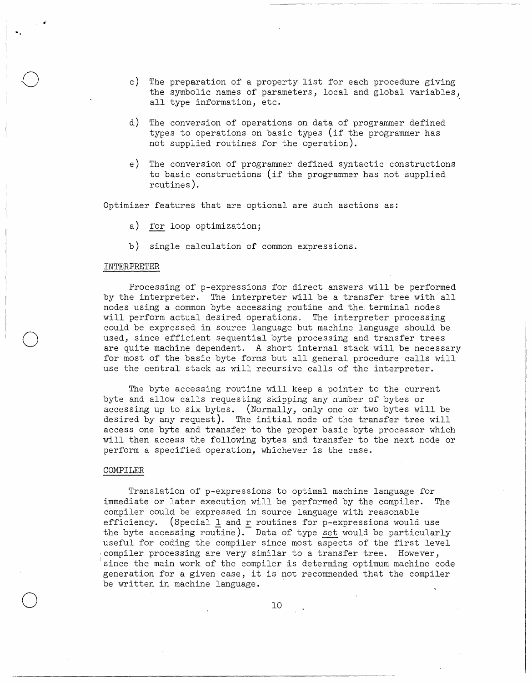- c) The preparation of a property list for each procedure giving the symbolic names of parameters, local and global variables, all type information, etc.
- d) The conversion of operations on data of programmer defined types to operations on basic types (if the programmer has not supplied routines for the operation).
- e) The conversion of programmer defined syntactic constructions to basic constructions (if the programmer has not supplied routines) .

Optimizer features that are optional are such asctions as:

- a) for loop optimization;
- b) single calculation of common expressions.

### INTERPRETER

 $\blacksquare$ 

o

o

o

Processing of p-expressions for direct answers will be performed by the interpreter. The interpreter will be a transfer tree with all nodes using a common byte accessing routine and the terminal nodes will perform actual desired operations. The interpreter processing could be expressed in source language but machine language should be used, since efficient sequential byte processing and transfer trees are quite machine dependent. A short internal stack will be necessary for most of the basic byte forms but all general procedure calls will use the central stack as will recursive calls of the interpreter.

The byte accessing routine will keep a pointer to the current byte and allow calls requesting skipping any number of bytes or accessing up to six bytes. (Normally, only one or two bytes will be desired by any request). The initial node of the transfer tree will access one byte and transfer to the proper basic byte processor which will then access the following bytes and transfer to the next node or perform a specified operation, whichever is the case.

#### COMPILER

Translation of p-expressions to optimal machine language for immediate or later execution will be performed by the compiler. The compiler could be expressed in source language with reasonable efficiency. (Special  $\underline{1}$  and  $\underline{r}$  routines for p-expressions would use the byte accessing routine). Data of type set would be particularly useful for coding the compiler since most aspects of the first level compiler processing are very similar to a transfer tree. However, since the main work of the compiler is determing optimum machine code generation for a given case, it is not recommended that the compiler be written in machine language.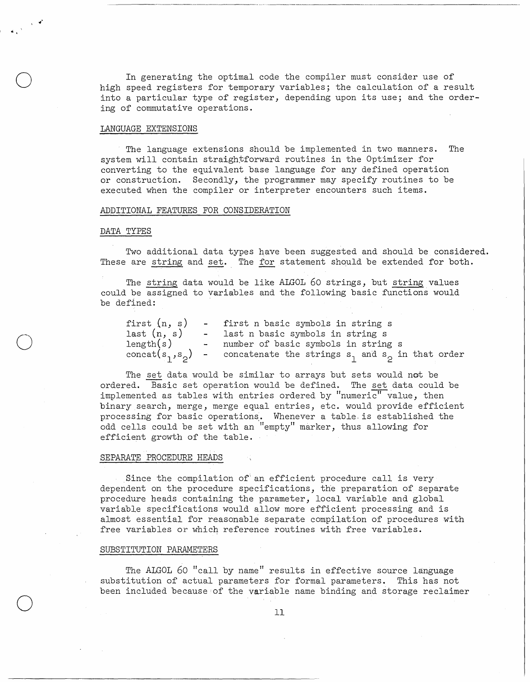In generating the optimal code the compiler must consider use of high speed registers for temporary variables; the calculation of a result into a particular type of register, depending upon its use; and the ordering of commutative operations.

---.--.. -........ ------

# LANGUAGE EXTENSIONS

The language extensions should be implemented in two manners. The system will contain straightforward routines in the Optimizer for converting to the equivalent base language for any defined operation or construction. Secondly, the programmer may specify routines to be executed when the compiler or interpreter encounters such items.

### ADDITIONAL FEATURES FOR CONSIDERATION

### DATA TYPES

,,"

 $\ddot{\phantom{0}}$ 

o

o

o

Two additional data types have been suggested and should be considered. These are string and set. The for statement should be extended for both.

The string data would be like ALGOL 60 strings, but string values could be assigned to variables and the following basic functions would be defined:

| first $(n, s)$ | - first n basic symbols in string s                                          |
|----------------|------------------------------------------------------------------------------|
| last(n, s)     | - last n basic symbols in string s                                           |
| length(s)      | - number of basic symbols in string s                                        |
|                | concat( $s_1, s_2$ ) - concatenate the strings $s_1$ and $s_2$ in that order |

The set data would be similar to arrays but sets would not be ordered. Basic set operation would be defined. The set data could be implemented as tables with entries ordered by "numeri $\overline{c}$ " value, then binary search, merge, merge equal entries, etc. would provide efficient processing for basic operations. Whenever a table is established the odd cells could be set with an "empty" marker, thus allowing for efficient growth of the table.

### SEPARATE PROCEDURE HEADS

Since the compilation of' an efficient procedure call is very dependent on the procedure specifications, the preparation of separate procedure heads containing the parameter, local variable and global variable specifications would allow more efficient processing and is almost essential for reasonable separate compilation of procedures with free variables or which reference routines with free variables.

### SUBSTITUTION PARAMETERS

The ALGOL 60 "call by name" results in effective source language substitution of actual parameters for formal parameters. This has not been included because:of the variable name binding and storage reclaimer